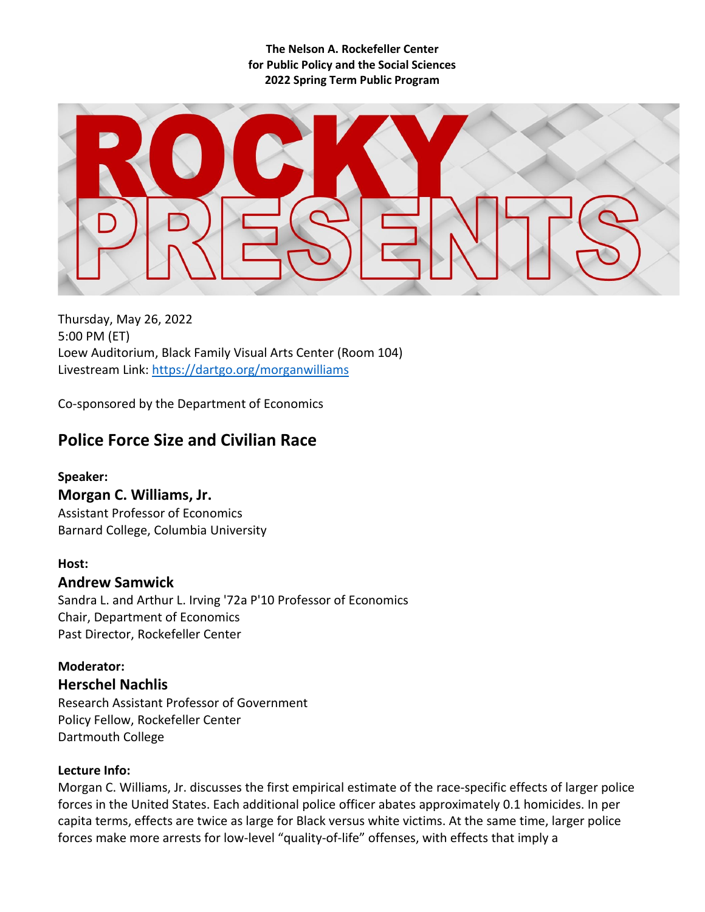**The Nelson A. Rockefeller Center for Public Policy and the Social Sciences 2022 Spring Term Public Program**

Thursday, May 26, 2022 5:00 PM (ET) Loew Auditorium, Black Family Visual Arts Center (Room 104) Livestream Link:<https://dartgo.org/morganwilliams>

Co-sponsored by the Department of Economics

# **Police Force Size and Civilian Race**

## **Speaker:**

## **Morgan C. Williams, Jr.**

Assistant Professor of Economics Barnard College, Columbia University

## **Host:**

## **Andrew Samwick**

Sandra L. and Arthur L. Irving '72a P'10 Professor of Economics Chair, Department of Economics Past Director, Rockefeller Center

**Moderator: Herschel Nachlis** Research Assistant Professor of Government Policy Fellow, Rockefeller Center Dartmouth College

## **Lecture Info:**

Morgan C. Williams, Jr. discusses the first empirical estimate of the race-specific effects of larger police forces in the United States. Each additional police officer abates approximately 0.1 homicides. In per capita terms, effects are twice as large for Black versus white victims. At the same time, larger police forces make more arrests for low-level "quality-of-life" offenses, with effects that imply a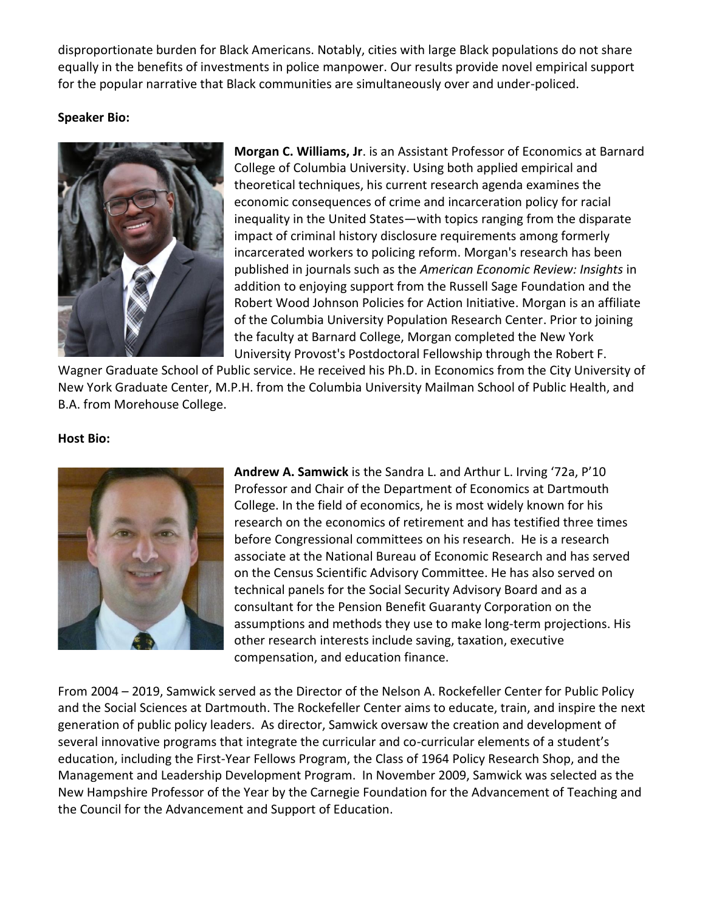disproportionate burden for Black Americans. Notably, cities with large Black populations do not share equally in the benefits of investments in police manpower. Our results provide novel empirical support for the popular narrative that Black communities are simultaneously over and under-policed.

## **Speaker Bio:**



**Morgan C. Williams, Jr**. is an Assistant Professor of Economics at Barnard College of Columbia University. Using both applied empirical and theoretical techniques, his current research agenda examines the economic consequences of crime and incarceration policy for racial inequality in the United States—with topics ranging from the disparate impact of criminal history disclosure requirements among formerly incarcerated workers to policing reform. Morgan's research has been published in journals such as the *American Economic Review: Insights* in addition to enjoying support from the Russell Sage Foundation and the Robert Wood Johnson Policies for Action Initiative. Morgan is an affiliate of the Columbia University Population Research Center. Prior to joining the faculty at Barnard College, Morgan completed the New York University Provost's Postdoctoral Fellowship through the Robert F.

Wagner Graduate School of Public service. He received his Ph.D. in Economics from the City University of New York Graduate Center, M.P.H. from the Columbia University Mailman School of Public Health, and B.A. from Morehouse College.

#### **Host Bio:**



**Andrew A. Samwick** is the Sandra L. and Arthur L. Irving '72a, P'10 Professor and Chair of the Department of Economics at Dartmouth College. In the field of economics, he is most widely known for his research on the economics of retirement and has testified three times before Congressional committees on his research. He is a research associate at the National Bureau of Economic Research and has served on the Census Scientific Advisory Committee. He has also served on technical panels for the Social Security Advisory Board and as a consultant for the Pension Benefit Guaranty Corporation on the assumptions and methods they use to make long-term projections. His other research interests include saving, taxation, executive compensation, and education finance.

From 2004 – 2019, Samwick served as the Director of the Nelson A. Rockefeller Center for Public Policy and the Social Sciences at Dartmouth. The Rockefeller Center aims to educate, train, and inspire the next generation of public policy leaders. As director, Samwick oversaw the creation and development of several innovative programs that integrate the curricular and co-curricular elements of a student's education, including the First-Year Fellows Program, the Class of 1964 Policy Research Shop, and the Management and Leadership Development Program. In November 2009, Samwick was selected as the New Hampshire Professor of the Year by the Carnegie Foundation for the Advancement of Teaching and the Council for the Advancement and Support of Education.